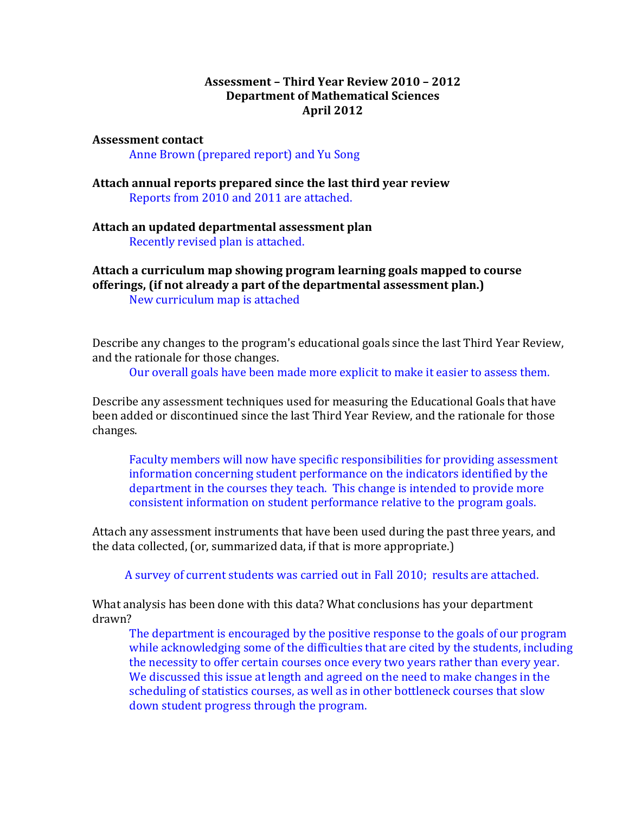#### **Assessment – Third'Year Review'2010 – 2012 Department of Mathematical Sciences April'2012**

#### **Assessment contact**

Anne Brown (prepared report) and Yu Song

**Attach annual reports'prepared since the last third year review** Reports from 2010 and 2011 are attached.

**Attach an updated departmental assessment plan** Recently revised plan is attached.

**Attach a curriculum map showing'program learning'goals'mapped to course offerings, (if not already a part of the departmental assessment plan.)** New curriculum map is attached

Describe any changes to the program's educational goals since the last Third Year Review, and the rationale for those changes.

Our overall goals have been made more explicit to make it easier to assess them.

Describe any assessment techniques used for measuring the Educational Goals that have been added or discontinued since the last Third Year Review, and the rationale for those changes.

Faculty members will now have specific responsibilities for providing assessment information concerning student performance on the indicators identified by the department in the courses they teach. This change is intended to provide more consistent information on student performance relative to the program goals.

Attach any assessment instruments that have been used during the past three years, and the data collected, (or, summarized data, if that is more appropriate.)

A survey of current students was carried out in Fall 2010; results are attached.

What analysis has been done with this data? What conclusions has your department drawn?

The department is encouraged by the positive response to the goals of our program while acknowledging some of the difficulties that are cited by the students, including the necessity to offer certain courses once every two years rather than every year. We discussed this issue at length and agreed on the need to make changes in the scheduling of statistics courses, as well as in other bottleneck courses that slow down student progress through the program.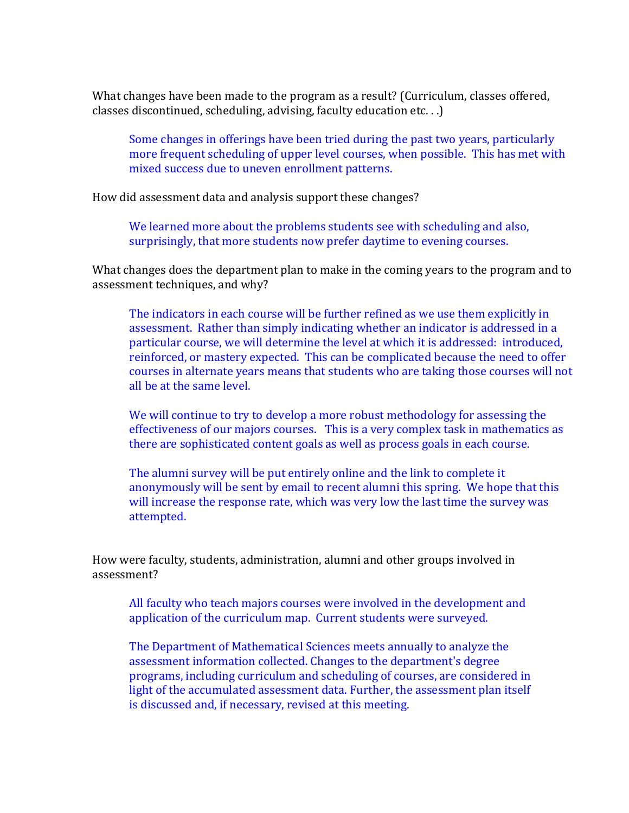What changes have been made to the program as a result? (Curriculum, classes offered, classes discontinued, scheduling, advising, faculty education etc...  $\big)$ 

Some changes in offerings have been tried during the past two years, particularly more frequent scheduling of upper level courses, when possible. This has met with mixed success due to uneven enrollment patterns.

How did assessment data and analysis support these changes?

We learned more about the problems students see with scheduling and also, surprisingly, that more students now prefer daytime to evening courses.

What changes does the department plan to make in the coming years to the program and to assessment techniques, and why?

The indicators in each course will be further refined as we use them explicitly in assessment. Rather than simply indicating whether an indicator is addressed in a particular course, we will determine the level at which it is addressed: introduced, reinforced, or mastery expected. This can be complicated because the need to offer courses in alternate years means that students who are taking those courses will not all be at the same level.

We will continue to try to develop a more robust methodology for assessing the effectiveness of our majors courses. This is a very complex task in mathematics as there are sophisticated content goals as well as process goals in each course.

The alumni survey will be put entirely online and the link to complete it anonymously will be sent by email to recent alumni this spring. We hope that this will increase the response rate, which was very low the last time the survey was attempted.

How were faculty, students, administration, alumni and other groups involved in assessment?

All faculty who teach majors courses were involved in the development and application of the curriculum map. Current students were surveyed.

The Department of Mathematical Sciences meets annually to analyze the assessment information collected. Changes to the department's degree programs, including curriculum and scheduling of courses, are considered in light of the accumulated assessment data. Further, the assessment plan itself is discussed and, if necessary, revised at this meeting.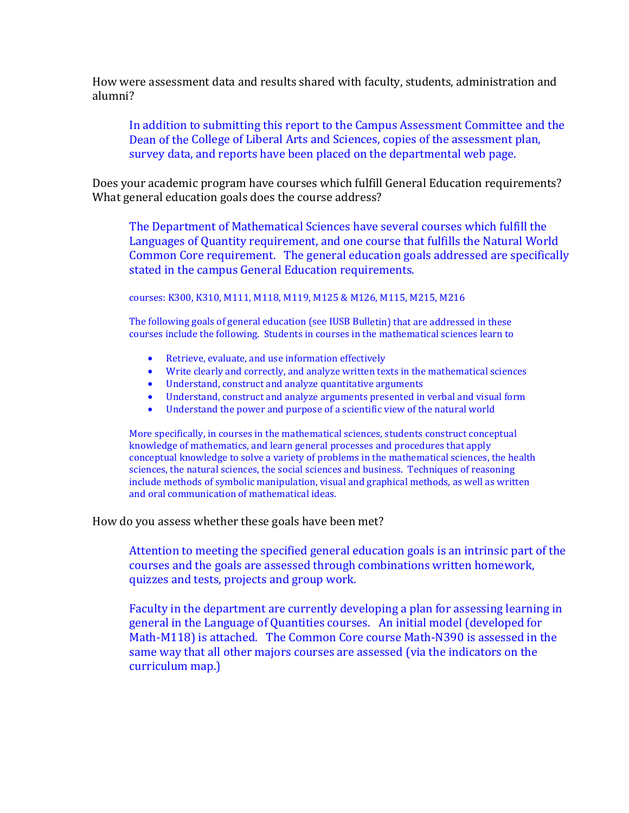How were assessment data and results shared with faculty, students, administration and alumni?

In addition to submitting this report to the Campus Assessment Committee and the Dean of the College of Liberal Arts and Sciences, copies of the assessment plan, survey data, and reports have been placed on the departmental web page.

Does your academic program have courses which fulfill General Education requirements? What general education goals does the course address?

The Department of Mathematical Sciences have several courses which fulfill the Languages of Quantity requirement, and one course that fulfills the Natural World Common Core requirement. The general education goals addressed are specifically stated in the campus General Education requirements.

courses: K300, K310, M111, M118, M119, M125 & M126, M115, M215, M216

The following goals of general education (see IUSB Bulletin) that are addressed in these courses include the following. Students in courses in the mathematical sciences learn to

- Retrieve, evaluate, and use information effectively
- Write clearly and correctly, and analyze written texts in the mathematical sciences
- Understand, construct and analyze quantitative arguments
- Understand, construct and analyze arguments presented in verbal and visual form
- Understand the power and purpose of a scientific view of the natural world

More specifically, in courses in the mathematical sciences, students construct conceptual knowledge of mathematics, and learn general processes and procedures that apply conceptual knowledge to solve a variety of problems in the mathematical sciences, the health sciences, the natural sciences, the social sciences and business. Techniques of reasoning include methods of symbolic manipulation, visual and graphical methods, as well as written and oral communication of mathematical ideas.

How do you assess whether these goals have been met?

Attention to meeting the specified general education goals is an intrinsic part of the courses and the goals are assessed through combinations written homework, quizzes and tests, projects and group work.

Faculty in the department are currently developing a plan for assessing learning in general in the Language of Quantities courses. An initial model (developed for Math-M118) is attached. The Common Core course Math-N390 is assessed in the same way that all other majors courses are assessed (via the indicators on the curriculum map.)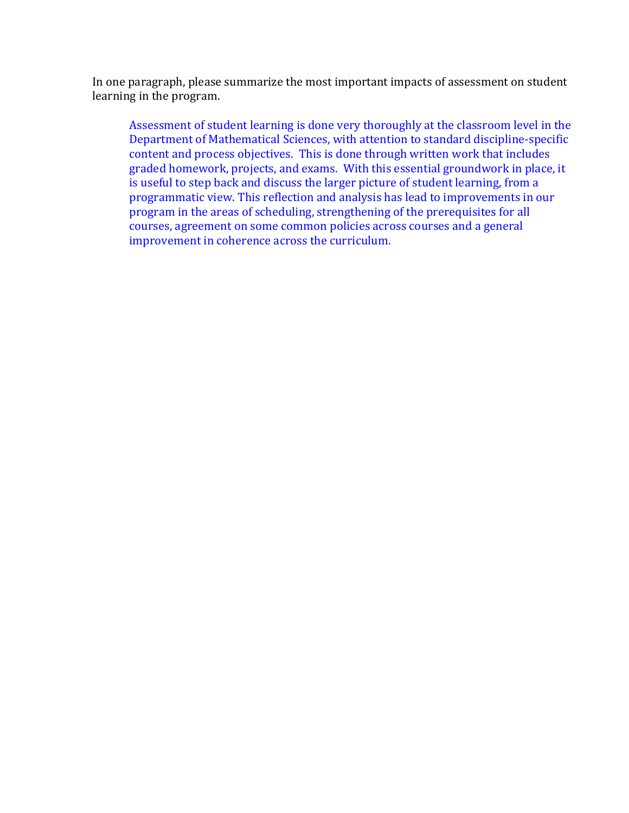In one paragraph, please summarize the most important impacts of assessment on student learning in the program.

Assessment of student learning is done very thoroughly at the classroom level in the Department of Mathematical Sciences, with attention to standard discipline-specific content and process objectives. This is done through written work that includes graded homework, projects, and exams. With this essential groundwork in place, it is useful to step back and discuss the larger picture of student learning, from a programmatic view. This reflection and analysis has lead to improvements in our program in the areas of scheduling, strengthening of the prerequisites for all courses, agreement on some common policies across courses and a general improvement in coherence across the curriculum.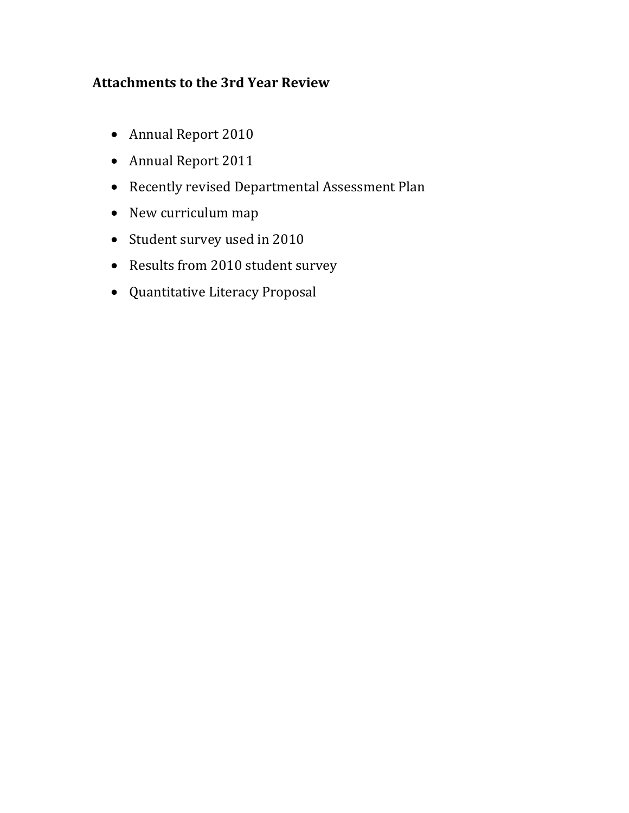# **Attachments\*to the 3rd Year\*Review**

- Annual Report 2010
- Annual Report 2011
- Recently revised Departmental Assessment Plan
- New curriculum map
- Student survey used in 2010
- Results from 2010 student survey
- Quantitative Literacy Proposal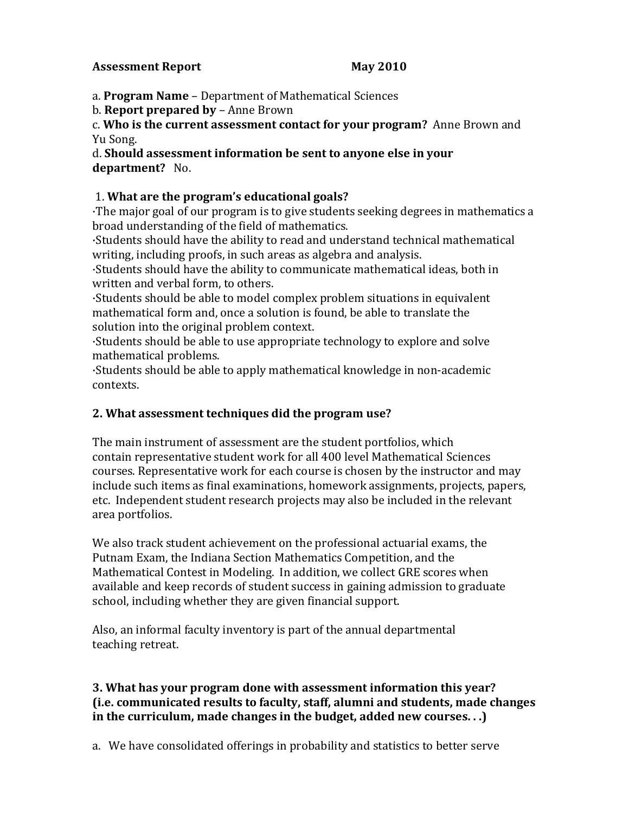#### **Assessment Report May 2010**

a. **Program Name** – Department of Mathematical Sciences

b. **Report prepared by** – Anne Brown

c. **Who is the current assessment contact for your program?** Anne Brown and Yu Song.

d. **Should assessment information be sent to anyone else in your department?** No.

#### 1. **What are the program's educational goals?**

·The major goal of our program is to give students seeking degrees in mathematics a broad understanding of the field of mathematics.

·Students should have the ability to read and understand technical mathematical writing, including proofs, in such areas as algebra and analysis.

·Students should have the ability to communicate mathematical ideas, both in written and verbal form, to others.

·Students should be able to model complex problem situations in equivalent mathematical form and, once a solution is found, be able to translate the solution into the original problem context.

·Students should be able to use appropriate technology to explore and solve mathematical problems.

·Students should be able to apply mathematical knowledge in non-academic contexts.

#### **2. What assessment techniques did the program use?**

The main instrument of assessment are the student portfolios, which contain representative student work for all 400 level Mathematical Sciences courses. Representative work for each course is chosen by the instructor and may include such items as final examinations, homework assignments, projects, papers, etc. Independent student research projects may also be included in the relevant area portfolios.

We also track student achievement on the professional actuarial exams, the Putnam Exam, the Indiana Section Mathematics Competition, and the Mathematical Contest in Modeling. In addition, we collect GRE scores when available and keep records of student success in gaining admission to graduate school, including whether they are given financial support.

Also, an informal faculty inventory is part of the annual departmental teaching retreat.

#### **3. What has your program done with assessment information this year? (i.e. communicated results to faculty, staff, alumni and students, made changes in the curriculum, made changes in the budget, added new courses. . .)**

a. We have consolidated offerings in probability and statistics to better serve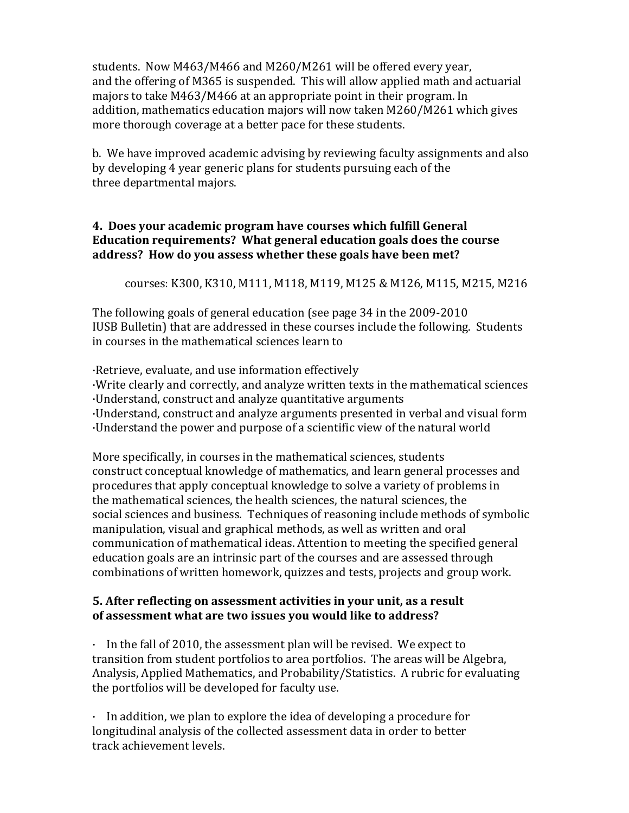students. Now M463/M466 and M260/M261 will be offered every year, and the offering of M365 is suspended. This will allow applied math and actuarial majors to take M463/M466 at an appropriate point in their program. In addition, mathematics education majors will now taken M260/M261 which gives more thorough coverage at a better pace for these students.

b. We have improved academic advising by reviewing faculty assignments and also by developing 4 year generic plans for students pursuing each of the three departmental majors.

#### **4. Does your academic program have courses which fulfill General Education requirements? What general education goals does the course address? How do you assess whether these goals have been met?**

courses: K300, K310, M111, M118, M119, M125 & M126, M115, M215, M216

The following goals of general education (see page  $34$  in the  $2009-2010$ IUSB Bulletin) that are addressed in these courses include the following. Students in courses in the mathematical sciences learn to

·Retrieve, evaluate, and use information effectively ·Write clearly and correctly, and analyze written texts in the mathematical sciences ·Understand, construct and analyze quantitative arguments ·Understand, construct and analyze arguments presented in verbal and visual form ·Understand the power and purpose of a scientific view of the natural world

More specifically, in courses in the mathematical sciences, students construct conceptual knowledge of mathematics, and learn general processes and procedures that apply conceptual knowledge to solve a variety of problems in the mathematical sciences, the health sciences, the natural sciences, the social sciences and business. Techniques of reasoning include methods of symbolic manipulation, visual and graphical methods, as well as written and oral communication of mathematical ideas. Attention to meeting the specified general education goals are an intrinsic part of the courses and are assessed through combinations of written homework, quizzes and tests, projects and group work.

### **5. After reflecting'on assessment activities in your unit, as a result of assessment what are two issues you would like to address?**

· In the fall of 2010, the assessment plan will be revised. We expect to transition from student portfolios to area portfolios. The areas will be Algebra, Analysis, Applied Mathematics, and Probability/Statistics. A rubric for evaluating the portfolios will be developed for faculty use.

· In addition, we plan to explore the idea of developing a procedure for longitudinal analysis of the collected assessment data in order to better track achievement levels.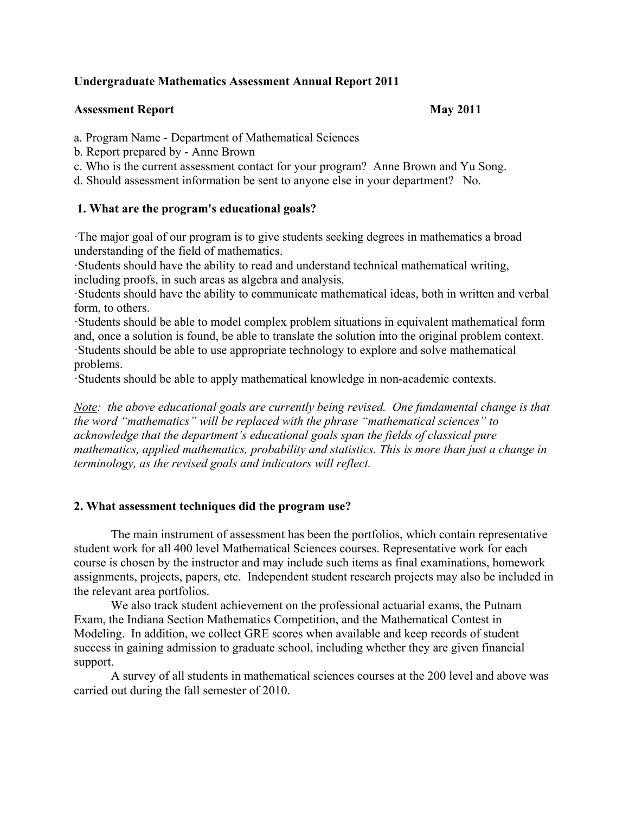#### **Undergraduate Mathematics Assessment Annual Report 2011**

#### **Assessment Report Community Community Assessment Report Community Community Community Community Community Community Community Community Community Community Community Community Community Community Community Community Commu**

a. Program Name - Department of Mathematical Sciences

- b. Report prepared by Anne Brown
- c. Who is the current assessment contact for your program? Anne Brown and Yu Song.

d. Should assessment information be sent to anyone else in your department? No.

### **1. What are the program's educational goals?**

·The major goal of our program is to give students seeking degrees in mathematics a broad understanding of the field of mathematics.

·Students should have the ability to read and understand technical mathematical writing, including proofs, in such areas as algebra and analysis.

·Students should have the ability to communicate mathematical ideas, both in written and verbal form, to others.

·Students should be able to model complex problem situations in equivalent mathematical form and, once a solution is found, be able to translate the solution into the original problem context. ·Students should be able to use appropriate technology to explore and solve mathematical problems.

·Students should be able to apply mathematical knowledge in non-academic contexts.

*Note: the above educational goals are currently being revised. One fundamental change is that the word "mathematics" will be replaced with the phrase "mathematical sciences" to acknowledge that the department's educational goals span the fields of classical pure mathematics, applied mathematics, probability and statistics. This is more than just a change in terminology, as the revised goals and indicators will reflect.* 

#### **2. What assessment techniques did the program use?**

The main instrument of assessment has been the portfolios, which contain representative student work for all 400 level Mathematical Sciences courses. Representative work for each course is chosen by the instructor and may include such items as final examinations, homework assignments, projects, papers, etc. Independent student research projects may also be included in the relevant area portfolios.

We also track student achievement on the professional actuarial exams, the Putnam Exam, the Indiana Section Mathematics Competition, and the Mathematical Contest in Modeling. In addition, we collect GRE scores when available and keep records of student success in gaining admission to graduate school, including whether they are given financial support.

A survey of all students in mathematical sciences courses at the 200 level and above was carried out during the fall semester of 2010.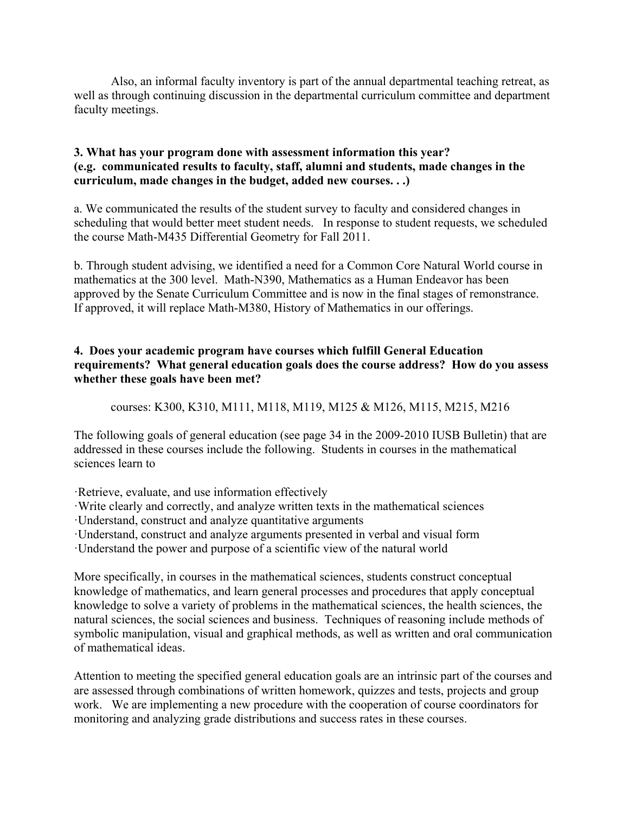Also, an informal faculty inventory is part of the annual departmental teaching retreat, as well as through continuing discussion in the departmental curriculum committee and department faculty meetings.

#### **3. What has your program done with assessment information this year? (e.g. communicated results to faculty, staff, alumni and students, made changes in the curriculum, made changes in the budget, added new courses. . .)**

a. We communicated the results of the student survey to faculty and considered changes in scheduling that would better meet student needs. In response to student requests, we scheduled the course Math-M435 Differential Geometry for Fall 2011.

b. Through student advising, we identified a need for a Common Core Natural World course in mathematics at the 300 level. Math-N390, Mathematics as a Human Endeavor has been approved by the Senate Curriculum Committee and is now in the final stages of remonstrance. If approved, it will replace Math-M380, History of Mathematics in our offerings.

#### **4. Does your academic program have courses which fulfill General Education requirements? What general education goals does the course address? How do you assess whether these goals have been met?**

courses: K300, K310, M111, M118, M119, M125 & M126, M115, M215, M216

The following goals of general education (see page 34 in the 2009-2010 IUSB Bulletin) that are addressed in these courses include the following. Students in courses in the mathematical sciences learn to

·Retrieve, evaluate, and use information effectively

·Write clearly and correctly, and analyze written texts in the mathematical sciences

·Understand, construct and analyze quantitative arguments

·Understand, construct and analyze arguments presented in verbal and visual form

·Understand, construct and analyze arguments presented in verbal and visual form ·Understand the power and purpose of a scientific view of the natural world

More specifically, in courses in the mathematical sciences, students construct conceptual knowledge of mathematics, and learn general processes and procedures that apply conceptual knowledge to solve a variety of problems in the mathematical sciences, the health sciences, the natural sciences, the social sciences and business. Techniques of reasoning include methods of symbolic manipulation, visual and graphical methods, as well as written and oral communication of mathematical ideas.

Attention to meeting the specified general education goals are an intrinsic part of the courses and are assessed through combinations of written homework, quizzes and tests, projects and group work. We are implementing a new procedure with the cooperation of course coordinators for monitoring and analyzing grade distributions and success rates in these courses.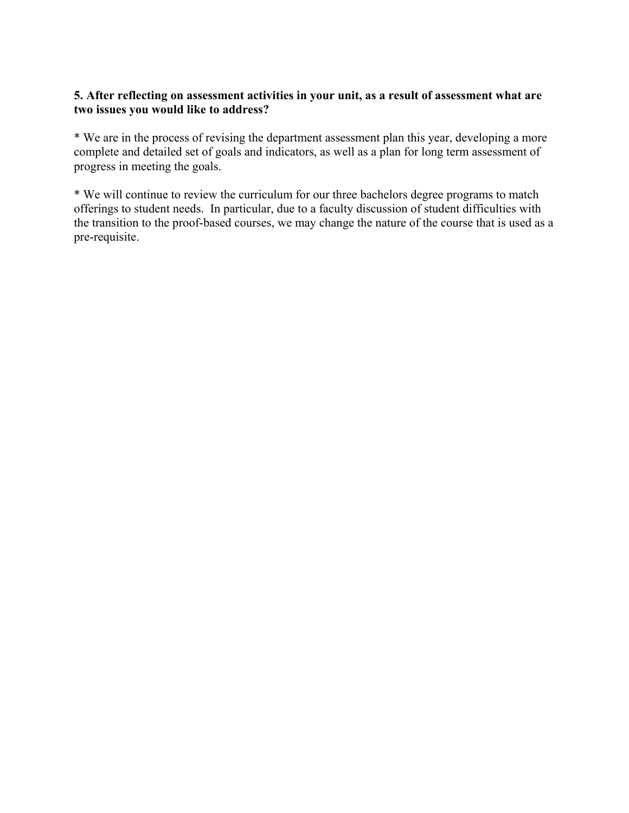#### **5. After reflecting on assessment activities in your unit, as a result of assessment what are two issues you would like to address?**

\* We are in the process of revising the department assessment plan this year, developing a more complete and detailed set of goals and indicators, as well as a plan for long term assessment of progress in meeting the goals.

\* We will continue to review the curriculum for our three bachelors degree programs to match offerings to student needs. In particular, due to a faculty discussion of student difficulties with the transition to the proof-based courses, we may change the nature of the course that is used as a pre-requisite.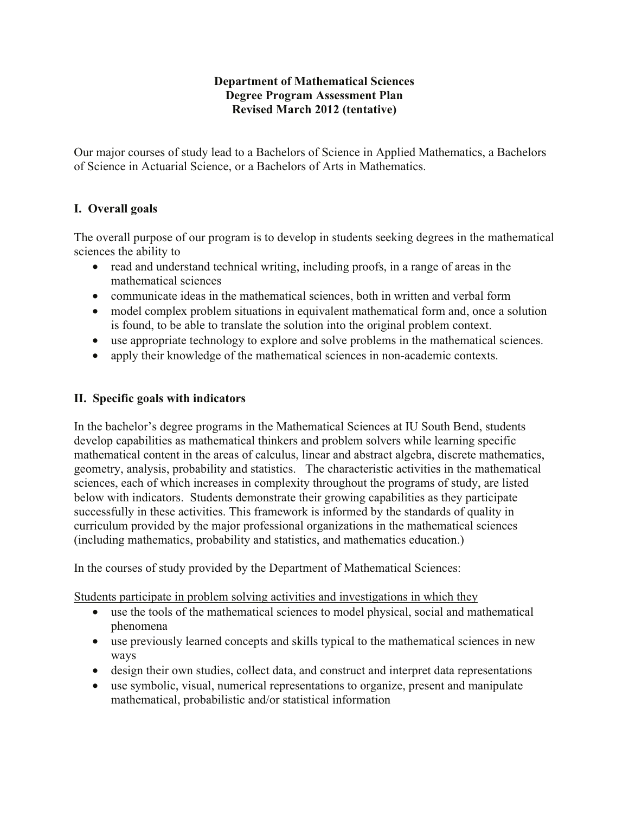#### **Department of Mathematical Sciences Degree Program Assessment Plan Revised March 2012 (tentative)**

Our major courses of study lead to a Bachelors of Science in Applied Mathematics, a Bachelors of Science in Actuarial Science, or a Bachelors of Arts in Mathematics.

### **I.** Overall goals

The overall purpose of our program is to develop in students seeking degrees in the mathematical sciences the ability to

- read and understand technical writing, including proofs, in a range of areas in the mathematical sciences
- communicate ideas in the mathematical sciences, both in written and verbal form
- model complex problem situations in equivalent mathematical form and, once a solution is found, to be able to translate the solution into the original problem context.
- use appropriate technology to explore and solve problems in the mathematical sciences.
- apply their knowledge of the mathematical sciences in non-academic contexts.

#### **II. Specific goals with indicators**

In the bachelor's degree programs in the Mathematical Sciences at IU South Bend, students develop capabilities as mathematical thinkers and problem solvers while learning specific mathematical content in the areas of calculus, linear and abstract algebra, discrete mathematics, geometry, analysis, probability and statistics. The characteristic activities in the mathematical sciences, each of which increases in complexity throughout the programs of study, are listed below with indicators. Students demonstrate their growing capabilities as they participate successfully in these activities. This framework is informed by the standards of quality in curriculum provided by the major professional organizations in the mathematical sciences (including mathematics, probability and statistics, and mathematics education.)

In the courses of study provided by the Department of Mathematical Sciences:

Students participate in problem solving activities and investigations in which they

- use the tools of the mathematical sciences to model physical, social and mathematical phenomena
- use previously learned concepts and skills typical to the mathematical sciences in new ways
- design their own studies, collect data, and construct and interpret data representations
- use symbolic, visual, numerical representations to organize, present and manipulate mathematical, probabilistic and/or statistical information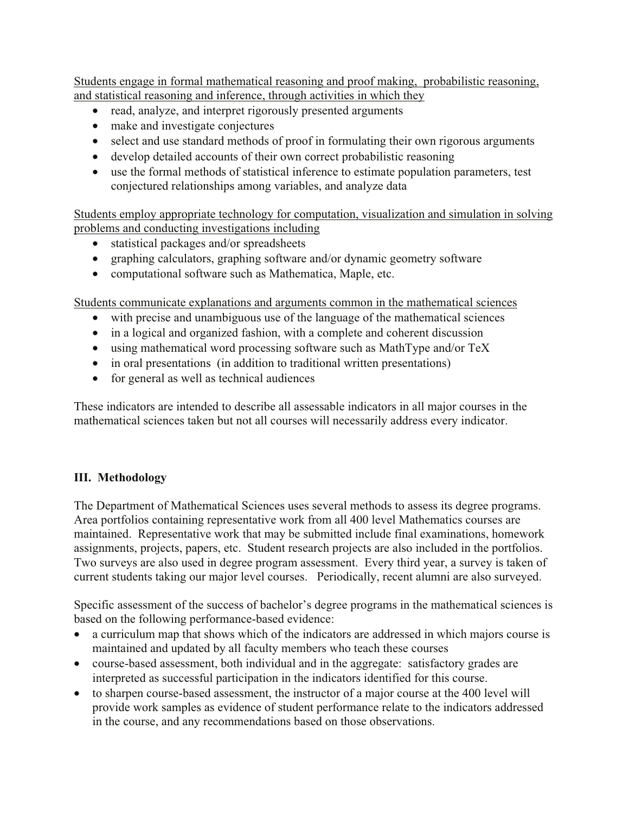Students engage in formal mathematical reasoning and proof making, probabilistic reasoning, and statistical reasoning and inference, through activities in which they

- read, analyze, and interpret rigorously presented arguments
- make and investigate conjectures
- select and use standard methods of proof in formulating their own rigorous arguments
- develop detailed accounts of their own correct probabilistic reasoning
- use the formal methods of statistical inference to estimate population parameters, test conjectured relationships among variables, and analyze data

Students employ appropriate technology for computation, visualization and simulation in solving problems and conducting investigations including

- statistical packages and/or spreadsheets
- graphing calculators, graphing software and/or dynamic geometry software
- computational software such as Mathematica, Maple, etc.

Students communicate explanations and arguments common in the mathematical sciences

- with precise and unambiguous use of the language of the mathematical sciences
- in a logical and organized fashion, with a complete and coherent discussion
- using mathematical word processing software such as MathType and/or TeX
- in oral presentations (in addition to traditional written presentations)
- for general as well as technical audiences

These indicators are intended to describe all assessable indicators in all major courses in the mathematical sciences taken but not all courses will necessarily address every indicator.

#### **III.** Methodology

The Department of Mathematical Sciences uses several methods to assess its degree programs. Area portfolios containing representative work from all 400 level Mathematics courses are maintained. Representative work that may be submitted include final examinations, homework assignments, projects, papers, etc. Student research projects are also included in the portfolios. Two surveys are also used in degree program assessment. Every third year, a survey is taken of current students taking our major level courses. Periodically, recent alumni are also surveyed.

Specific assessment of the success of bachelor's degree programs in the mathematical sciences is based on the following performance-based evidence:

- a curriculum map that shows which of the indicators are addressed in which majors course is maintained and updated by all faculty members who teach these courses
- course-based assessment, both individual and in the aggregate: satisfactory grades are interpreted as successful participation in the indicators identified for this course.
- to sharpen course-based assessment, the instructor of a major course at the 400 level will provide work samples as evidence of student performance relate to the indicators addressed in the course, and any recommendations based on those observations.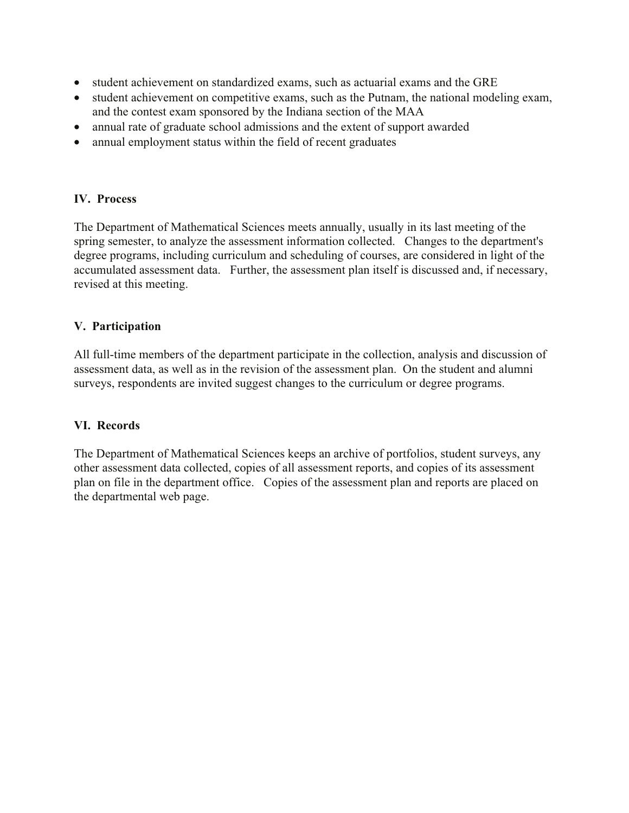- student achievement on standardized exams, such as actuarial exams and the GRE
- student achievement on competitive exams, such as the Putnam, the national modeling exam. and the contest exam sponsored by the Indiana section of the MAA
- annual rate of graduate school admissions and the extent of support awarded
- annual employment status within the field of recent graduates

#### **IV.** Process

The Department of Mathematical Sciences meets annually, usually in its last meeting of the spring semester, to analyze the assessment information collected. Changes to the department's degree programs, including curriculum and scheduling of courses, are considered in light of the accumulated assessment data. Further, the assessment plan itself is discussed and, if necessary, revised at this meeting.

#### **V.** Participation

All full-time members of the department participate in the collection, analysis and discussion of assessment data, as well as in the revision of the assessment plan. On the student and alumni surveys, respondents are invited suggest changes to the curriculum or degree programs.

#### **VI.** Records

The Department of Mathematical Sciences keeps an archive of portfolios, student surveys, any other assessment data collected, copies of all assessment reports, and copies of its assessment plan on file in the department office. Copies of the assessment plan and reports are placed on the departmental web page.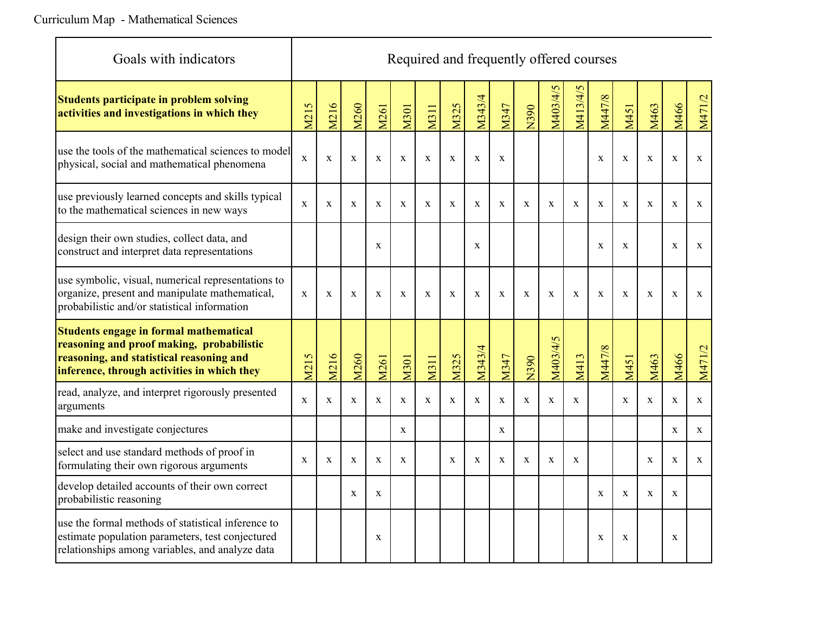| Goals with indicators                                                                                                                                                          | Required and frequently offered courses |              |              |              |              |              |              |              |              |              |              |              |              |              |              |              |              |
|--------------------------------------------------------------------------------------------------------------------------------------------------------------------------------|-----------------------------------------|--------------|--------------|--------------|--------------|--------------|--------------|--------------|--------------|--------------|--------------|--------------|--------------|--------------|--------------|--------------|--------------|
| <b>Students participate in problem solving</b><br>activities and investigations in which they                                                                                  | M215                                    | M216         | M260         | M261         | M301         | <b>M311</b>  | M325         | M343/4       | M347         | N390         | M403/4/5     | M413/4/5     | M447/8       | M451         | M463         | M466         | M471/2       |
| use the tools of the mathematical sciences to model<br>physical, social and mathematical phenomena                                                                             | $\mathbf X$                             | $\mathbf X$  | $\mathbf X$  | $\mathbf X$  | $\mathbf X$  | $\mathbf X$  | $\mathbf X$  | $\mathbf X$  | $\mathbf X$  |              |              |              | $\mathbf X$  | $\mathbf X$  | $\mathbf X$  | $\mathbf X$  | $\mathbf X$  |
| use previously learned concepts and skills typical<br>to the mathematical sciences in new ways                                                                                 | $\mathbf X$                             | $\mathbf X$  | $\mathbf{X}$ | $\mathbf X$  | $\mathbf X$  | $\mathbf X$  | $\mathbf{x}$ | $\mathbf X$  | $\mathbf X$  | X            | $\mathbf X$  | $\mathbf{x}$ | $\mathbf X$  | $\mathbf X$  | $\mathbf X$  | $\mathbf X$  | $\mathbf X$  |
| design their own studies, collect data, and<br>construct and interpret data representations                                                                                    |                                         |              |              | $\mathbf X$  |              |              |              | $\mathbf{X}$ |              |              |              |              | $\mathbf X$  | $\mathbf{X}$ |              | $\mathbf X$  | $\mathbf X$  |
| use symbolic, visual, numerical representations to<br>organize, present and manipulate mathematical,<br>probabilistic and/or statistical information                           | $\mathbf{x}$                            | $\mathbf{x}$ | $\mathbf{x}$ | $\mathbf{x}$ | $\mathbf{x}$ | $\mathbf{x}$ | $\mathbf{x}$ | $\mathbf{x}$ | $\mathbf{x}$ | $\mathbf{x}$ | $\mathbf{x}$ | $\mathbf{x}$ | $\mathbf{x}$ | $\mathbf{x}$ | $\mathbf{x}$ | $\mathbf{x}$ | $\mathbf{x}$ |
| Students engage in formal mathematical<br>reasoning and proof making, probabilistic<br>reasoning, and statistical reasoning and<br>inference, through activities in which they | M215                                    | M216         | M260         | M261         | M301         | <b>M311</b>  | M325         | M343/4       | M347         | N390         | M403/4/5     | M413         | M447/8       | M451         | M463         | M466         | M471/2       |
| read, analyze, and interpret rigorously presented<br>arguments                                                                                                                 | $\mathbf X$                             | $\mathbf X$  | $\mathbf X$  | $\mathbf X$  | $\mathbf X$  | $\mathbf X$  | $\mathbf X$  | $\mathbf X$  | $\mathbf X$  | $\mathbf X$  | $\mathbf X$  | $\mathbf X$  |              | $\mathbf X$  | $\mathbf X$  | $\mathbf X$  | $\mathbf X$  |
| make and investigate conjectures                                                                                                                                               |                                         |              |              |              | X            |              |              |              | $\mathbf{X}$ |              |              |              |              |              |              | $\mathbf X$  | $\mathbf X$  |
| select and use standard methods of proof in<br>formulating their own rigorous arguments                                                                                        | X                                       | $\mathbf X$  | $\mathbf X$  | $\mathbf X$  | X            |              | $\mathbf X$  | $\mathbf X$  | $\mathbf X$  | X            | $\mathbf X$  | $\mathbf X$  |              |              | X            | $\mathbf X$  | $\mathbf X$  |
| develop detailed accounts of their own correct<br>probabilistic reasoning                                                                                                      |                                         |              | $\mathbf X$  | $\mathbf X$  |              |              |              |              |              |              |              |              | $\mathbf X$  | $\mathbf X$  | $\mathbf{x}$ | $\mathbf X$  |              |
| use the formal methods of statistical inference to<br>estimate population parameters, test conjectured<br>relationships among variables, and analyze data                      |                                         |              |              | X            |              |              |              |              |              |              |              |              | $\mathbf X$  | X            |              | X            |              |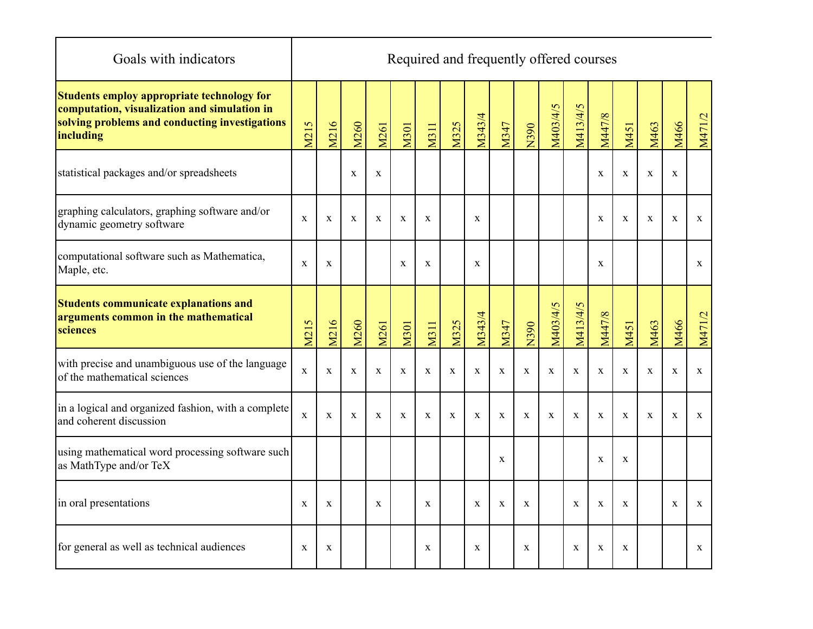| Goals with indicators                                                                                                                                     |             |             |              |              |             |             |             | Required and frequently offered courses |              |              |             |             |             |             |              |             |              |
|-----------------------------------------------------------------------------------------------------------------------------------------------------------|-------------|-------------|--------------|--------------|-------------|-------------|-------------|-----------------------------------------|--------------|--------------|-------------|-------------|-------------|-------------|--------------|-------------|--------------|
| Students employ appropriate technology for<br>computation, visualization and simulation in<br>solving problems and conducting investigations<br>including | M215        | M216        | M260         | M261         | M301        | <b>M311</b> | <b>M325</b> | M343/4                                  | M347         | N390         | M403/4/5    | M413/4/5    | M447/8      | M451        | M463         | M466        | M471/2       |
| statistical packages and/or spreadsheets                                                                                                                  |             |             | $\mathbf X$  | $\mathbf X$  |             |             |             |                                         |              |              |             |             | $\mathbf X$ | $\mathbf X$ | $\mathbf X$  | $\mathbf X$ |              |
| graphing calculators, graphing software and/or<br>dynamic geometry software                                                                               | $\mathbf X$ | $\mathbf X$ | $\mathbf X$  | $\mathbf{X}$ | X           | $\mathbf X$ |             | $\mathbf{X}$                            |              |              |             |             | $\mathbf X$ | $\mathbf X$ | $\mathbf X$  | $\mathbf X$ | $\mathbf{X}$ |
| computational software such as Mathematica,<br>Maple, etc.                                                                                                | $\mathbf X$ | $\mathbf X$ |              |              | $\mathbf X$ | $\mathbf X$ |             | $\mathbf X$                             |              |              |             |             | $\mathbf X$ |             |              |             | $\mathbf X$  |
| Students communicate explanations and<br>arguments common in the mathematical<br>sciences                                                                 | M215        | M216        | M260         | M261         | M301        | <b>M311</b> | M325        | M343/4                                  | M347         | N390         | M403/4/5    | M413/4/5    | M447/8      | M451        | M463         | M466        | M471/2       |
| with precise and unambiguous use of the language<br>of the mathematical sciences                                                                          | $\mathbf X$ | $\mathbf X$ | $\mathbf{X}$ | $\mathbf X$  | X           | $\mathbf X$ | $\mathbf X$ | $\mathbf{X}$                            | X            | $\mathbf{X}$ | $\mathbf X$ | $\mathbf X$ | $\mathbf X$ | $\mathbf X$ | $\mathbf{X}$ | $\mathbf X$ | $\mathbf{X}$ |
| in a logical and organized fashion, with a complete<br>and coherent discussion                                                                            | $\mathbf X$ | $\mathbf X$ | $\mathbf X$  | X            | X           | $\mathbf X$ | $\mathbf X$ | $\mathbf{X}$                            | X            | X            | X           | $\mathbf X$ | $\mathbf X$ | X           | X            | $\mathbf X$ | $\mathbf X$  |
| using mathematical word processing software such<br>as MathType and/or TeX                                                                                |             |             |              |              |             |             |             |                                         | $\mathbf X$  |              |             |             | $\mathbf X$ | $\mathbf X$ |              |             |              |
| in oral presentations                                                                                                                                     | $\mathbf X$ | X           |              | $\mathbf{X}$ |             | $\mathbf X$ |             | X                                       | $\mathbf{X}$ | X            |             | $\mathbf X$ | $\mathbf X$ | $\mathbf X$ |              | $\mathbf X$ | X            |
| for general as well as technical audiences                                                                                                                | $\mathbf X$ | $\mathbf X$ |              |              |             | $\mathbf X$ |             | $\mathbf{X}$                            |              | $\mathbf{X}$ |             | $\mathbf X$ | $\mathbf X$ | X           |              |             | $\mathbf X$  |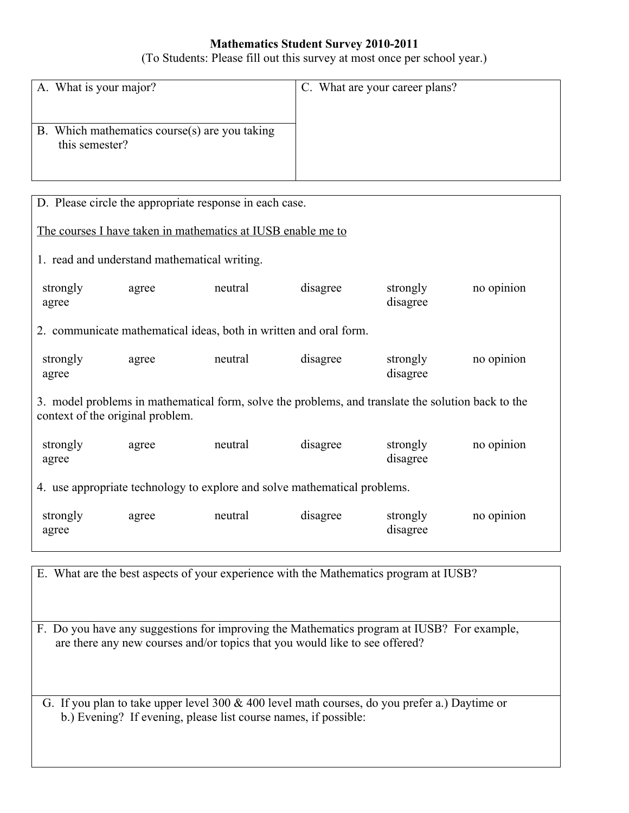#### **Mathematics Student Survey 2010-2011**

(To Students: Please fill out this survey at most once per school year.)

| A. What is your major?                                          | C. What are your career plans? |
|-----------------------------------------------------------------|--------------------------------|
| B. Which mathematics course(s) are you taking<br>this semester? |                                |

|                                  | D. Please circle the appropriate response in each case. |                                                                                                    |          |                      |            |
|----------------------------------|---------------------------------------------------------|----------------------------------------------------------------------------------------------------|----------|----------------------|------------|
|                                  |                                                         | The courses I have taken in mathematics at IUSB enable me to                                       |          |                      |            |
|                                  | 1. read and understand mathematical writing.            |                                                                                                    |          |                      |            |
| strongly<br>agree                | agree                                                   | neutral                                                                                            | disagree | strongly<br>disagree | no opinion |
|                                  |                                                         | 2. communicate mathematical ideas, both in written and oral form.                                  |          |                      |            |
| strongly<br>agree                | agree                                                   | neutral                                                                                            | disagree | strongly<br>disagree | no opinion |
| context of the original problem. |                                                         | 3. model problems in mathematical form, solve the problems, and translate the solution back to the |          |                      |            |
| strongly<br>agree                | agree                                                   | neutral                                                                                            | disagree | strongly<br>disagree | no opinion |
|                                  |                                                         | 4. use appropriate technology to explore and solve mathematical problems.                          |          |                      |            |
| strongly<br>agree                | agree                                                   | neutral                                                                                            | disagree | strongly<br>disagree | no opinion |

E. What are the best aspects of your experience with the Mathematics program at IUSB?

F. Do you have any suggestions for improving the Mathematics program at IUSB? For example, are there any new courses and/or topics that you would like to see offered?

 b.) Evening? If evening, please list course names, if possible: G. If you plan to take upper level 300 & 400 level math courses, do you prefer a.) Daytime or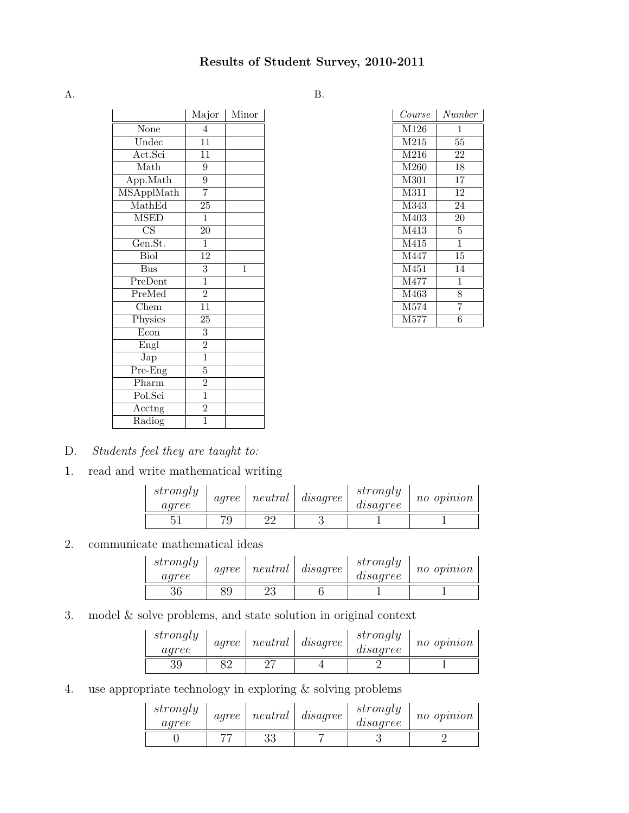A. B.

|                               | Major           | Minor       |
|-------------------------------|-----------------|-------------|
| None                          | 4               |             |
| Undec                         | $\overline{11}$ |             |
| Act.Sci                       | 11              |             |
| Math                          | $\overline{9}$  |             |
| App.Math                      | $\overline{9}$  |             |
| MSApplMath                    | 7               |             |
| MathEd                        | $\overline{25}$ |             |
| <b>MSED</b>                   | $\mathbf 1$     |             |
| CS                            | 20              |             |
| Gen.St.                       | $\overline{1}$  |             |
| <b>Biol</b>                   | $\overline{12}$ |             |
| $\overline{Bus}$              | $\overline{3}$  | $\mathbf 1$ |
| PreDent                       | $\overline{1}$  |             |
| PreMed                        | $\overline{2}$  |             |
| Chem                          | $\overline{11}$ |             |
| Physics                       | $\overline{25}$ |             |
| Econ                          | $\overline{3}$  |             |
| Engl                          | $\overline{2}$  |             |
| Jap                           | $\frac{1}{1}$   |             |
| $\overline{\mathrm{Pre-Eng}}$ | $\overline{5}$  |             |
| Pharm                         | $\overline{2}$  |             |
| Pol.Sci                       | $\overline{1}$  |             |
| $\overline{\text{Acctag}}$    | $\overline{2}$  |             |
| Radiog                        | $\overline{1}$  |             |

| $\it Course$ | Number         |
|--------------|----------------|
| M126         | 1              |
| M215         | 55             |
| M216         | 22             |
| M260         | 18             |
| M301         | 17             |
| M311         | 12             |
| M343         | 24             |
| M403         | 20             |
| M413         | 5              |
| M415         | 1              |
| M447         | 15             |
| M451         | 14             |
| M477         | 1              |
| M463         | 8              |
| M574         | $\overline{7}$ |
| M577         | 6              |

- D. Students feel they are taught to:
- 1. read and write mathematical writing

| strongly<br>agree | agree | neutral | $\emph{usage}$ | strongly<br>disagree | no opinion |
|-------------------|-------|---------|----------------|----------------------|------------|
|                   |       | ററ      |                |                      |            |

2. communicate mathematical ideas

| strongly<br>agree | agree | neutral  | $d{isa}q{re}e$ | strongly<br>disagree | no opinion |
|-------------------|-------|----------|----------------|----------------------|------------|
|                   | 89    | າາ<br>∠ట |                |                      |            |

3. model & solve problems, and state solution in original context

| strongly<br>agree | agree | neutral | $d{isa}q{re}e$ | strongly<br>disagree | no opinion |
|-------------------|-------|---------|----------------|----------------------|------------|
| 39                | ດດ    | nH      |                |                      |            |

4. use appropriate technology in exploring & solving problems

| strongly<br>agree | agree | neutral  | $\emph{disagree}$ | strongly<br>disagree | no opinion |
|-------------------|-------|----------|-------------------|----------------------|------------|
|                   |       | วว<br>ಲಲ |                   |                      |            |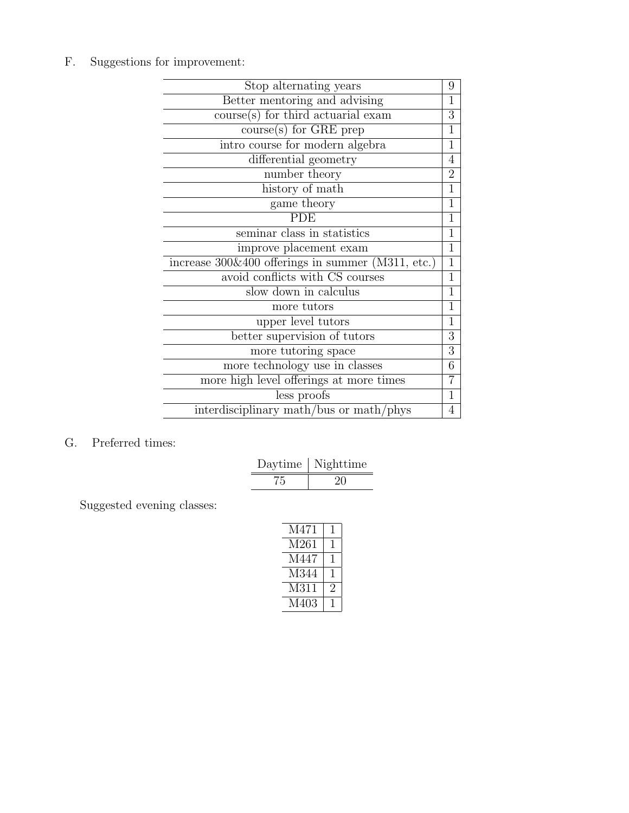F. Suggestions for improvement:

| Stop alternating years                                 | 9              |
|--------------------------------------------------------|----------------|
| Better mentoring and advising                          | $\mathbf 1$    |
| $\overline{\text{course(s)}}$ for third actuarial exam | 3              |
| $course(s)$ for GRE prep                               | $\mathbf 1$    |
| intro course for modern algebra                        | 1              |
| differential geometry                                  | $\overline{4}$ |
| number theory                                          | $\overline{2}$ |
| history of math                                        | $\overline{1}$ |
| game theory                                            | 1              |
| <b>PDE</b>                                             | 1              |
| seminar class in statistics                            | $\overline{1}$ |
| improve placement exam                                 | $\mathbf{1}$   |
| increase 300&400 offerings in summer (M311, etc.)      | 1              |
| avoid conflicts with CS courses                        | $\mathbf{1}$   |
| slow down in calculus                                  | $\overline{1}$ |
| more tutors                                            | $\overline{1}$ |
| upper level tutors                                     | $\mathbf 1$    |
| better supervision of tutors                           | $\overline{3}$ |
| more tutoring space                                    | $\overline{3}$ |
| more technology use in classes                         | 6              |
| more high level offerings at more times                | 7              |
| less proofs                                            | $\overline{1}$ |
| interdisciplinary math/bus or math/phys                | $\overline{4}$ |

G. Preferred times:

| Daytime | Nighttime |
|---------|-----------|
|         | .,        |

Suggested evening classes:

| M471 |    |
|------|----|
| M261 |    |
| M447 |    |
| M344 |    |
| M311 | ٠, |
| M403 |    |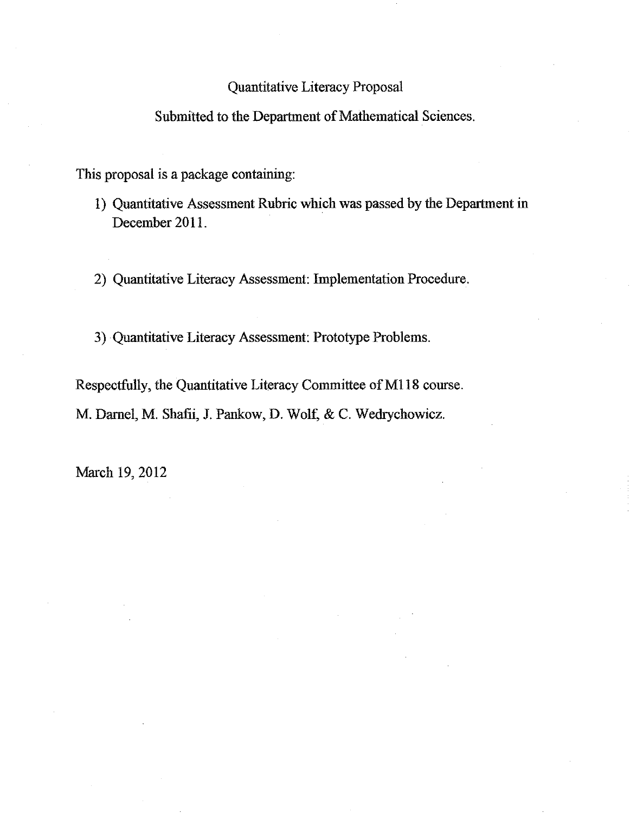# Quantitative Literacy Proposal

# Submitted to the Department of Mathematical Sciences.

This proposal is a package containing:

1) Quantitative Assessment Rubric which was passed by the Department in December 2011.

2) Quantitative Literacy Assessment: Implementation Procedure.

3) Quantitative Literacy Assessment: Prototype Problems.

Respectfully, the Quantitative Literacy Committee of M118 course. M. Darnel, M. Shafii, J. Pankow, D. Wolf, & C. Wedrychowicz.

March 19, 2012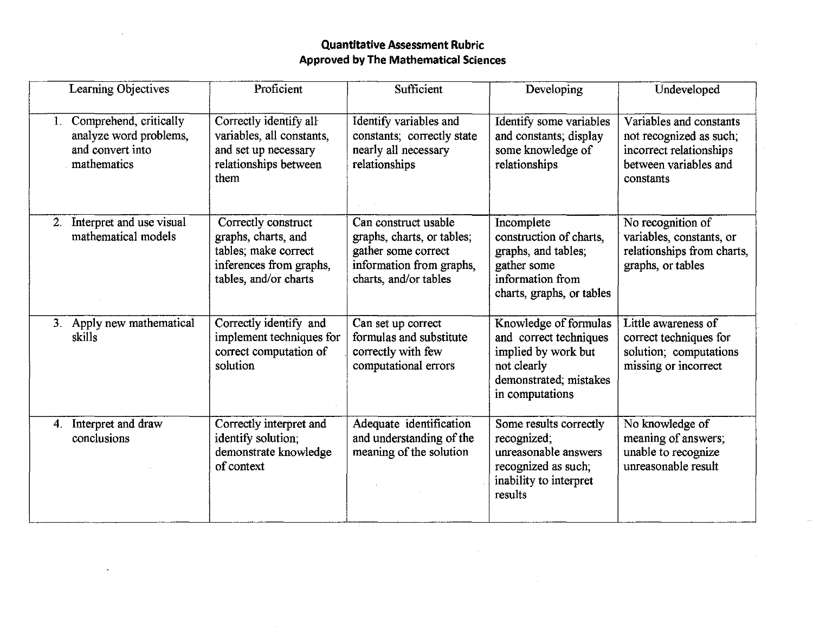# **Quantitative Assessment Rubric Approved by The Mathematical Sciences**

|    | Learning Objectives                                                                 | Proficient                                                                                                             | Sufficient                                                                                                                     | Developing                                                                                                                         | Undeveloped                                                                                                         |
|----|-------------------------------------------------------------------------------------|------------------------------------------------------------------------------------------------------------------------|--------------------------------------------------------------------------------------------------------------------------------|------------------------------------------------------------------------------------------------------------------------------------|---------------------------------------------------------------------------------------------------------------------|
|    | Comprehend, critically<br>analyze word problems,<br>and convert into<br>mathematics | Correctly identify all<br>variables, all constants,<br>and set up necessary<br>relationships between<br>them           | Identify variables and<br>constants; correctly state<br>nearly all necessary<br>relationships                                  | Identify some variables<br>and constants; display<br>some knowledge of<br>relationships                                            | Variables and constants<br>not recognized as such;<br>incorrect relationships<br>between variables and<br>constants |
|    | Interpret and use visual<br>mathematical models                                     | Correctly construct<br>graphs, charts, and<br>tables; make correct<br>inferences from graphs,<br>tables, and/or charts | Can construct usable<br>graphs, charts, or tables;<br>gather some correct<br>information from graphs,<br>charts, and/or tables | Incomplete<br>construction of charts.<br>graphs, and tables;<br>gather some<br>information from<br>charts, graphs, or tables       | No recognition of<br>variables, constants, or<br>relationships from charts,<br>graphs, or tables                    |
|    | 3. Apply new mathematical<br>skills                                                 | Correctly identify and<br>implement techniques for<br>correct computation of<br>solution                               | Can set up correct<br>formulas and substitute<br>correctly with few<br>computational errors                                    | Knowledge of formulas<br>and correct techniques<br>implied by work but<br>not clearly<br>demonstrated; mistakes<br>in computations | Little awareness of<br>correct techniques for<br>solution; computations<br>missing or incorrect                     |
| 4. | Interpret and draw<br>conclusions                                                   | Correctly interpret and<br>identify solution;<br>demonstrate knowledge<br>of context                                   | Adequate identification<br>and understanding of the<br>meaning of the solution                                                 | Some results correctly<br>recognized;<br>unreasonable answers<br>recognized as such;<br>inability to interpret<br>results          | No knowledge of<br>meaning of answers;<br>unable to recognize<br>unreasonable result                                |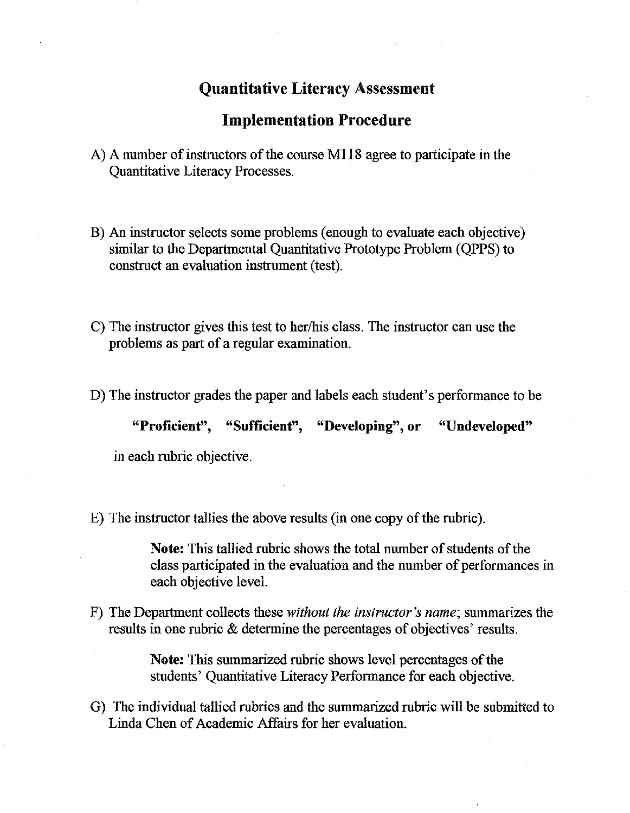# Quantitative Literacy Assessment

# Implementation Procedure

- A) A number of instructors of the course M118 agree to participate in the Quantitative Literacy Processes.
- B) An instructor selects some problems (enough to evaluate each objective) similar to the Departmental Quantitative Prototype Problem (QPPS) to construct an evaluation instrument (test).
- C) The instructor gives this test to her/his class. The instructor can use the problems as part of a regular examination.
- D) The instructor grades the paper and labels each student's performance to be

"Proficient", "Sufficient", "Developing", or "Undeveloped"

in each rubric objective.

E) The instructor tallies the above results (in one copy of the rubric).

Note: This tallied rubric shows the total number of students of the class participated in the evaluation and the number of performances in each objective level.

F) The Department collects these *without the instructor's name;* summarizes the results in one rubric & determine the percentages of objectives' results.

> Note: This summarized rubric shows level percentages of the students' Quantitative Literacy Performance for each objective.

G) The individual tallied rubrics and the surmnarized rubric will be submitted to Linda Chen of Academic Affairs for her evaluation.